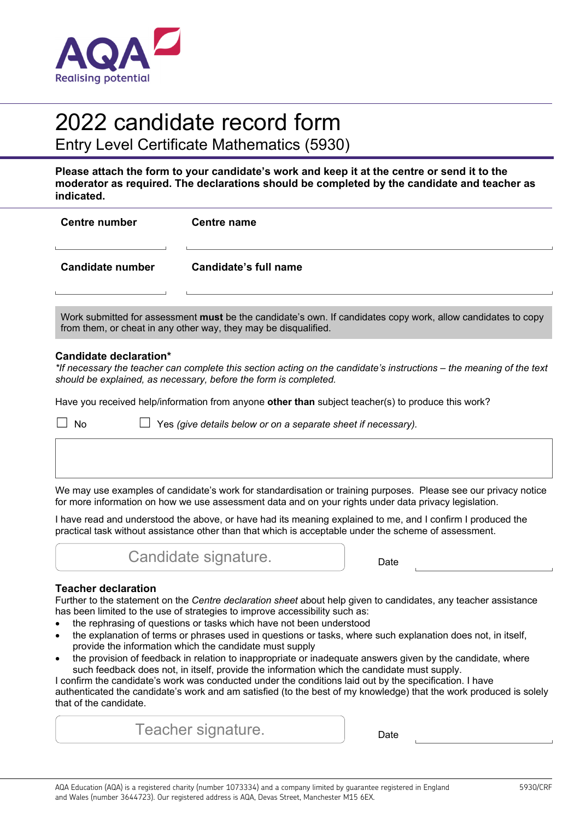

# 2022 candidate record form

Entry Level Certificate Mathematics (5930)

**Please attach the form to your candidate's work and keep it at the centre or send it to the moderator as required. The declarations should be completed by the candidate and teacher as indicated.** 

| <b>Centre number</b>    | <b>Centre name</b>    |
|-------------------------|-----------------------|
| <b>Candidate number</b> | Candidate's full name |
|                         |                       |

Work submitted for assessment **must** be the candidate's own. If candidates copy work, allow candidates to copy from them, or cheat in any other way, they may be disqualified.

#### **Candidate declaration\***

*\*If necessary the teacher can complete this section acting on the candidate's instructions – the meaning of the text should be explained, as necessary, before the form is completed.* 

Have you received help/information from anyone **other than** subject teacher(s) to produce this work?

☐ No ☐ Yes *(give details below or on a separate sheet if necessary).*

We may use examples of candidate's work for standardisation or training purposes. Please see our privacy notice for more information on how we use assessment data and on your rights under data privacy legislation.

I have read and understood the above, or have had its meaning explained to me, and I confirm I produced the practical task without assistance other than that which is acceptable under the scheme of assessment.



## **Teacher declaration**

Further to the statement on the *Centre declaration sheet* about help given to candidates, any teacher assistance has been limited to the use of strategies to improve accessibility such as:

- the rephrasing of questions or tasks which have not been understood
- the explanation of terms or phrases used in questions or tasks, where such explanation does not, in itself, provide the information which the candidate must supply
- the provision of feedback in relation to inappropriate or inadequate answers given by the candidate, where such feedback does not, in itself, provide the information which the candidate must supply.

I confirm the candidate's work was conducted under the conditions laid out by the specification. I have authenticated the candidate's work and am satisfied (to the best of my knowledge) that the work produced is solely that of the candidate.

Teacher signature. The pate